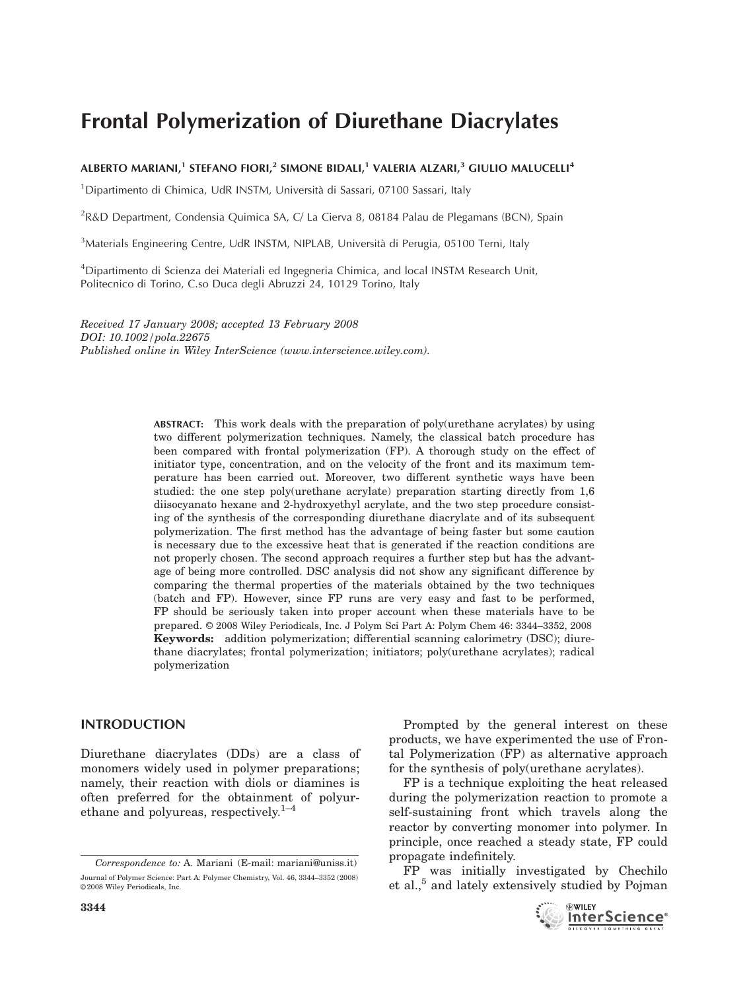# Frontal Polymerization of Diurethane Diacrylates

## ALBERTO MARIANI,<sup>1</sup> STEFANO FIORI,<sup>2</sup> SIMONE BIDALI,<sup>1</sup> VALERIA ALZARI,<sup>3</sup> GIULIO MALUCELLI<sup>4</sup>

<sup>1</sup>Dipartimento di Chimica, UdR INSTM, Università di Sassari, 07100 Sassari, Italy

<sup>2</sup>R&D Department, Condensia Quimica SA, C/ La Cierva 8, 08184 Palau de Plegamans (BCN), Spain

<sup>3</sup>Materials Engineering Centre, UdR INSTM, NIPLAB, Università di Perugia, 05100 Terni, Italy

<sup>4</sup>Dipartimento di Scienza dei Materiali ed Ingegneria Chimica, and local INSTM Research Unit, Politecnico di Torino, C.so Duca degli Abruzzi 24, 10129 Torino, Italy

Received 17 January 2008; accepted 13 February 2008 DOI: 10.1002/pola.22675 Published online in Wiley InterScience (www.interscience.wiley.com).

> ABSTRACT: This work deals with the preparation of poly(urethane acrylates) by using two different polymerization techniques. Namely, the classical batch procedure has been compared with frontal polymerization (FP). A thorough study on the effect of initiator type, concentration, and on the velocity of the front and its maximum temperature has been carried out. Moreover, two different synthetic ways have been studied: the one step poly(urethane acrylate) preparation starting directly from 1,6 diisocyanato hexane and 2-hydroxyethyl acrylate, and the two step procedure consisting of the synthesis of the corresponding diurethane diacrylate and of its subsequent polymerization. The first method has the advantage of being faster but some caution is necessary due to the excessive heat that is generated if the reaction conditions are not properly chosen. The second approach requires a further step but has the advantage of being more controlled. DSC analysis did not show any significant difference by comparing the thermal properties of the materials obtained by the two techniques (batch and FP). However, since FP runs are very easy and fast to be performed, FP should be seriously taken into proper account when these materials have to be prepared. © 2008 Wiley Periodicals, Inc. J Polym Sci Part A: Polym Chem 46: 3344–3352, 2008 Keywords: addition polymerization; differential scanning calorimetry (DSC); diurethane diacrylates; frontal polymerization; initiators; poly(urethane acrylates); radical polymerization

## INTRODUCTION

Diurethane diacrylates (DDs) are a class of monomers widely used in polymer preparations; namely, their reaction with diols or diamines is often preferred for the obtainment of polyurethane and polyureas, respectively. $1-4$ 

Prompted by the general interest on these products, we have experimented the use of Frontal Polymerization (FP) as alternative approach for the synthesis of poly(urethane acrylates).

FP is a technique exploiting the heat released during the polymerization reaction to promote a self-sustaining front which travels along the reactor by converting monomer into polymer. In principle, once reached a steady state, FP could propagate indefinitely.

FP was initially investigated by Chechilo et al.,<sup>5</sup> and lately extensively studied by Pojman



Correspondence to: A. Mariani (E-mail: mariani@uniss.it) Journal of Polymer Science: Part A: Polymer Chemistry, Vol. 46, 3344–3352 (2008) ©2008 Wiley Periodicals, Inc.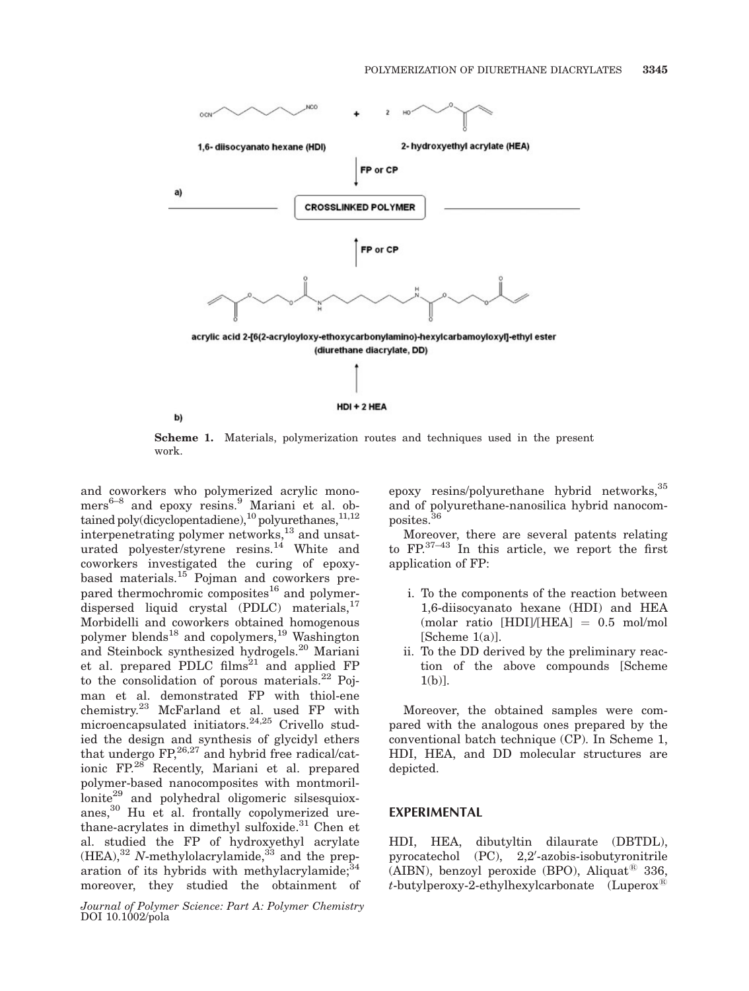

Scheme 1. Materials, polymerization routes and techniques used in the present work.

and coworkers who polymerized acrylic mono $mers^{6-8}$  and epoxy resins.<sup>9</sup> Mariani et al. obtained poly(dicyclopentadiene),<sup>10</sup> polyurethanes,<sup>11,12</sup> interpenetrating polymer networks,<sup>13</sup> and unsaturated polyester/styrene resins.<sup>14</sup> White and coworkers investigated the curing of epoxybased materials.<sup>15</sup> Pojman and coworkers prepared thermochromic composites<sup>16</sup> and polymerdispersed liquid crystal (PDLC) materials, $^{17}$ Morbidelli and coworkers obtained homogenous polymer blends<sup>18</sup> and copolymers,<sup>19</sup> Washington and Steinbock synthesized hydrogels.<sup>20</sup> Mariani et al. prepared PDLC films<sup>21</sup> and applied FP to the consolidation of porous materials. $^{22}$  Pojman et al. demonstrated FP with thiol-ene chemistry.<sup>23</sup> McFarland et al. used FP with microencapsulated initiators.<sup>24,25</sup> Crivello studied the design and synthesis of glycidyl ethers that undergo  $FP<sub>1</sub><sup>26,27</sup>$  and hybrid free radical/cationic FP.28 Recently, Mariani et al. prepared polymer-based nanocomposites with montmoril $lonite^{29}$  and polyhedral oligomeric silsesquioxanes,<sup>30</sup> Hu et al. frontally copolymerized urethane-acrylates in dimethyl sulfoxide.<sup>31</sup> Chen et al. studied the FP of hydroxyethyl acrylate  $(HEA)$ ,<sup>32</sup> N-methylolacrylamide,<sup>33</sup> and the preparation of its hybrids with methylacrylamide; $^{34}$ moreover, they studied the obtainment of

Journal of Polymer Science: Part A: Polymer Chemistry DOI 10.1002/pola

epoxy resins/polyurethane hybrid networks, <sup>35</sup> and of polyurethane-nanosilica hybrid nanocomposites.<sup>36</sup>

Moreover, there are several patents relating to  $\text{FP}^{37-43}$  In this article, we report the first application of FP:

- i. To the components of the reaction between 1,6-diisocyanato hexane (HDI) and HEA (molar ratio  $[HDI]/[HEA] = 0.5$  mol/mol  $[Scheme 1(a)].$
- ii. To the DD derived by the preliminary reaction of the above compounds [Scheme 1(b)].

Moreover, the obtained samples were compared with the analogous ones prepared by the conventional batch technique (CP). In Scheme 1, HDI, HEA, and DD molecular structures are depicted.

## EXPERIMENTAL

HDI, HEA, dibutyltin dilaurate (DBTDL), pyrocatechol (PC), 2,2'-azobis-isobutyronitrile (AIBN), benzoyl peroxide (BPO), Aliquat<sup>®</sup> 336,  $t$ -butylperoxy-2-ethylhexylcarbonate (Luperox<sup>®</sup>)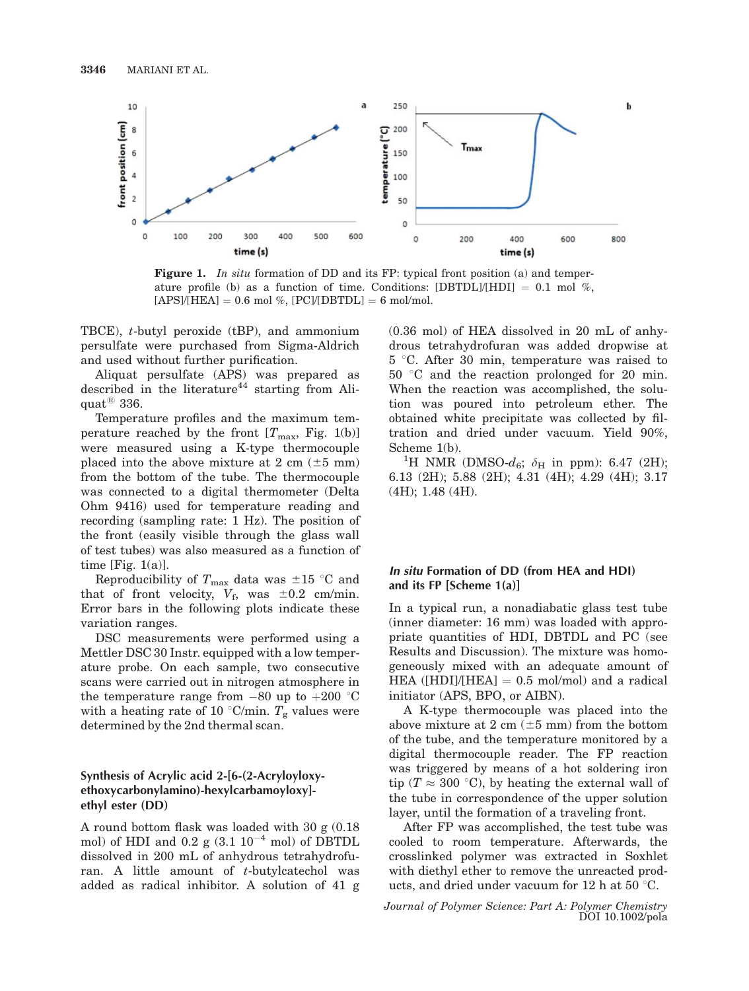

Figure 1. In situ formation of DD and its FP: typical front position (a) and temperature profile (b) as a function of time. Conditions:  $[DBTDL]/[HDI] = 0.1$  mol %,  $[APS]/[HEA] = 0.6 \text{ mol } %$ ,  $[PC]/[DBTDL] = 6 \text{ mol/mol}.$ 

TBCE), t-butyl peroxide (tBP), and ammonium persulfate were purchased from Sigma-Aldrich and used without further purification.

Aliquat persulfate (APS) was prepared as described in the literature<sup>44</sup> starting from Aliquat $^{\circledR}$  336.

Temperature profiles and the maximum temperature reached by the front  $[T_{\text{max}},$  Fig. 1(b)] were measured using a K-type thermocouple placed into the above mixture at 2 cm  $(\pm 5 \text{ mm})$ from the bottom of the tube. The thermocouple was connected to a digital thermometer (Delta Ohm 9416) used for temperature reading and recording (sampling rate: 1 Hz). The position of the front (easily visible through the glass wall of test tubes) was also measured as a function of time [Fig.  $1(a)$ ].

Reproducibility of  $T_{\text{max}}$  data was  $\pm 15$  °C and that of front velocity,  $V_f$ , was  $\pm 0.2$  cm/min. Error bars in the following plots indicate these variation ranges.

DSC measurements were performed using a Mettler DSC 30 Instr. equipped with a low temperature probe. On each sample, two consecutive scans were carried out in nitrogen atmosphere in the temperature range from  $-80$  up to  $+200$  °C with a heating rate of 10 °C/min.  $T_{\rm g}$  values were determined by the 2nd thermal scan.

## Synthesis of Acrylic acid 2-[6-(2-Acryloyloxyethoxycarbonylamino)-hexylcarbamoyloxy] ethyl ester (DD)

A round bottom flask was loaded with 30 g (0.18 mol) of HDI and 0.2 g  $(3.1 10^{-4}$  mol) of DBTDL dissolved in 200 mL of anhydrous tetrahydrofuran. A little amount of t-butylcatechol was added as radical inhibitor. A solution of 41 g (0.36 mol) of HEA dissolved in 20 mL of anhydrous tetrahydrofuran was added dropwise at  $5^{\circ}$ C. After 30 min, temperature was raised to  $50^{\circ}$ C and the reaction prolonged for 20 min. When the reaction was accomplished, the solution was poured into petroleum ether. The obtained white precipitate was collected by filtration and dried under vacuum. Yield 90%, Scheme 1(b).

<sup>1</sup>H NMR (DMSO- $d_6$ ;  $\delta_H$  in ppm): 6.47 (2H); 6.13 (2H); 5.88 (2H); 4.31 (4H); 4.29 (4H); 3.17 (4H); 1.48 (4H).

## In situ Formation of DD (from HEA and HDI) and its FP [Scheme 1(a)]

In a typical run, a nonadiabatic glass test tube (inner diameter: 16 mm) was loaded with appropriate quantities of HDI, DBTDL and PC (see Results and Discussion). The mixture was homogeneously mixed with an adequate amount of HEA ([HDI]/[HEA]  $= 0.5$  mol/mol) and a radical initiator (APS, BPO, or AIBN).

A K-type thermocouple was placed into the above mixture at 2 cm  $(\pm 5 \text{ mm})$  from the bottom of the tube, and the temperature monitored by a digital thermocouple reader. The FP reaction was triggered by means of a hot soldering iron tip ( $T \approx 300$  °C), by heating the external wall of the tube in correspondence of the upper solution layer, until the formation of a traveling front.

After FP was accomplished, the test tube was cooled to room temperature. Afterwards, the crosslinked polymer was extracted in Soxhlet with diethyl ether to remove the unreacted products, and dried under vacuum for 12 h at 50  $\degree$ C.

Journal of Polymer Science: Part A: Polymer Chemistry DOI 10.1002/pola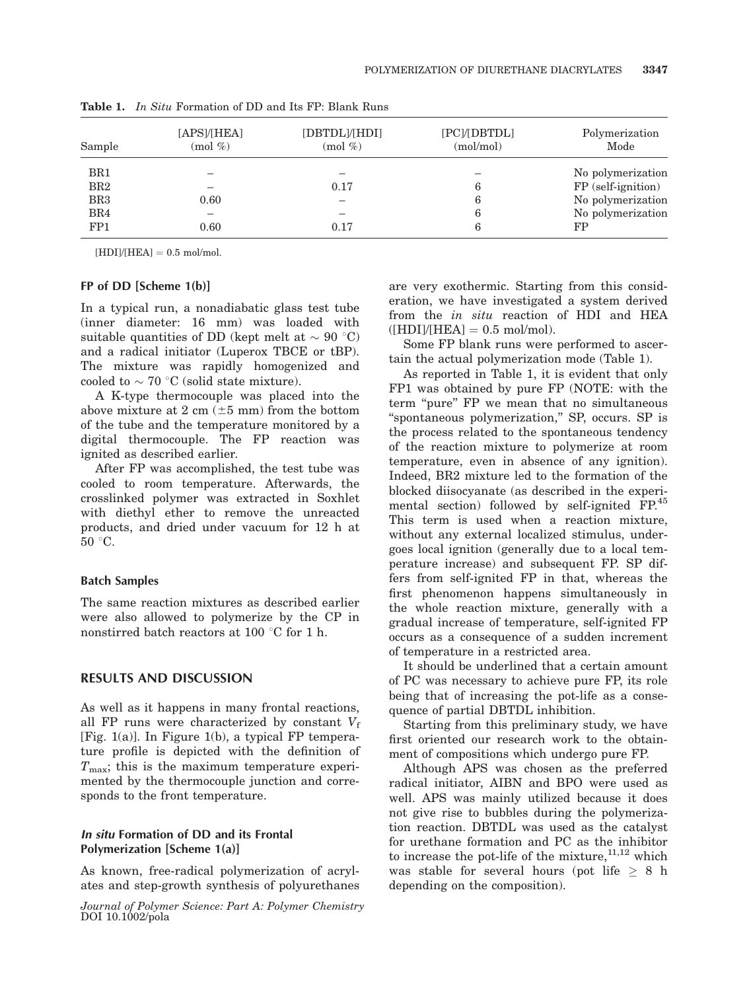| Sample          | [APS]/[HEA]<br>$(mod \%)$ | [DBTDL]/[HDI]<br>$(mod \%)$ | [PC]/[DBTDL]<br>(mol/mol) | Polymerization<br>Mode |
|-----------------|---------------------------|-----------------------------|---------------------------|------------------------|
| BR1             |                           |                             |                           | No polymerization      |
| BR2             |                           | 0.17                        | 6                         | FP (self-ignition)     |
| BR <sub>3</sub> | 0.60                      |                             | 6                         | No polymerization      |
| BR4             | —                         |                             | 6                         | No polymerization      |
| FP1             | 0.60                      | 0.17                        | 6                         | FP                     |

Table 1. In Situ Formation of DD and Its FP: Blank Runs

 $[HDI]/[HEA] = 0.5$  mol/mol.

## FP of DD [Scheme 1(b)]

In a typical run, a nonadiabatic glass test tube (inner diameter: 16 mm) was loaded with suitable quantities of DD (kept melt at  $\sim 90\ ^{\circ}\mathrm{C})$ and a radical initiator (Luperox TBCE or tBP). The mixture was rapidly homogenized and cooled to  $\sim$  70 °C (solid state mixture).

A K-type thermocouple was placed into the above mixture at 2 cm  $(\pm 5 \text{ mm})$  from the bottom of the tube and the temperature monitored by a digital thermocouple. The FP reaction was ignited as described earlier.

After FP was accomplished, the test tube was cooled to room temperature. Afterwards, the crosslinked polymer was extracted in Soxhlet with diethyl ether to remove the unreacted products, and dried under vacuum for 12 h at  $50^{\circ}$ C.

#### Batch Samples

The same reaction mixtures as described earlier were also allowed to polymerize by the CP in nonstirred batch reactors at 100  $\degree$ C for 1 h.

## RESULTS AND DISCUSSION

As well as it happens in many frontal reactions, all FP runs were characterized by constant  $V_f$ [Fig. 1(a)]. In Figure 1(b), a typical FP temperature profile is depicted with the definition of  $T<sub>max</sub>$ ; this is the maximum temperature experimented by the thermocouple junction and corresponds to the front temperature.

## In situ Formation of DD and its Frontal Polymerization [Scheme 1(a)]

As known, free-radical polymerization of acrylates and step-growth synthesis of polyurethanes

Journal of Polymer Science: Part A: Polymer Chemistry DOI 10.1002/pola

are very exothermic. Starting from this consideration, we have investigated a system derived from the in situ reaction of HDI and HEA  $([HDI]/[HEA] = 0.5 \text{ mol/mol}).$ 

Some FP blank runs were performed to ascertain the actual polymerization mode (Table 1).

As reported in Table 1, it is evident that only FP1 was obtained by pure FP (NOTE: with the term "pure" FP we mean that no simultaneous ''spontaneous polymerization,'' SP, occurs. SP is the process related to the spontaneous tendency of the reaction mixture to polymerize at room temperature, even in absence of any ignition). Indeed, BR2 mixture led to the formation of the blocked diisocyanate (as described in the experimental section) followed by self-ignited FP.<sup>45</sup> This term is used when a reaction mixture, without any external localized stimulus, undergoes local ignition (generally due to a local temperature increase) and subsequent FP. SP differs from self-ignited FP in that, whereas the first phenomenon happens simultaneously in the whole reaction mixture, generally with a gradual increase of temperature, self-ignited FP occurs as a consequence of a sudden increment of temperature in a restricted area.

It should be underlined that a certain amount of PC was necessary to achieve pure FP, its role being that of increasing the pot-life as a consequence of partial DBTDL inhibition.

Starting from this preliminary study, we have first oriented our research work to the obtainment of compositions which undergo pure FP.

Although APS was chosen as the preferred radical initiator, AIBN and BPO were used as well. APS was mainly utilized because it does not give rise to bubbles during the polymerization reaction. DBTDL was used as the catalyst for urethane formation and PC as the inhibitor to increase the pot-life of the mixture,  $11,12$  which was stable for several hours (pot life  $> 8$  h depending on the composition).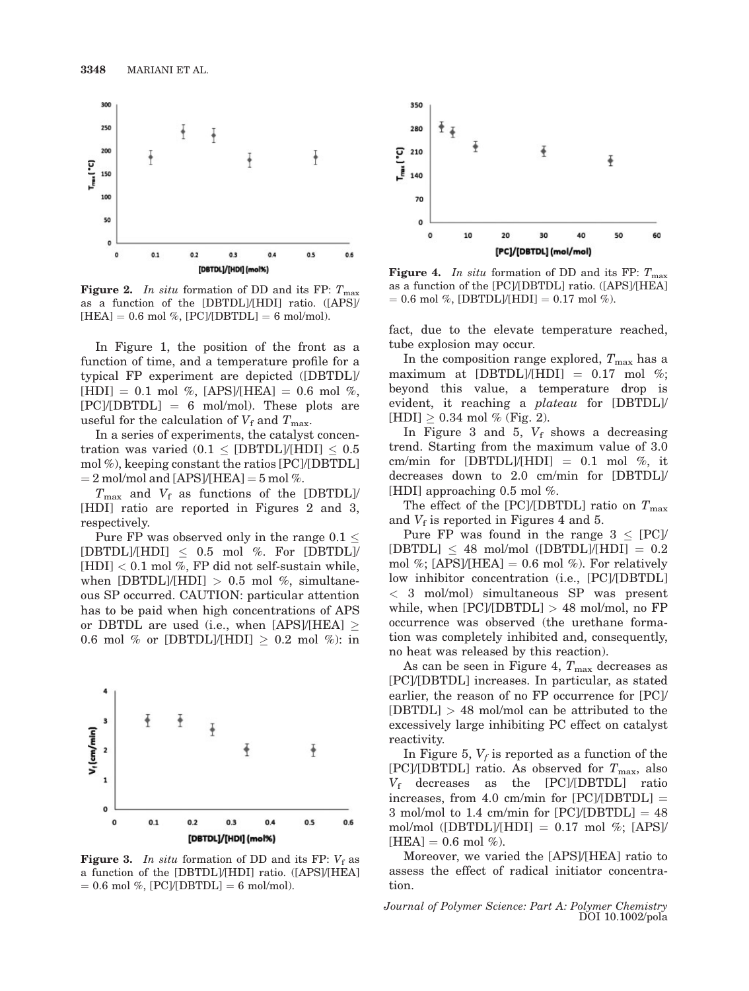

**Figure 2.** In situ formation of DD and its FP:  $T_{\text{max}}$ as a function of the [DBTDL]/[HDI] ratio. ([APS]/  $[HEA] = 0.6$  mol %,  $[PC]/[DBTDL] = 6$  mol/mol).

In Figure 1, the position of the front as a function of time, and a temperature profile for a typical FP experiment are depicted ([DBTDL]/  $[HDI] = 0.1 \text{ mol } \%$ ,  $[APS]/[HEA] = 0.6 \text{ mol } \%$ ,  $[PC]/[DBTDL] = 6$  mol/mol). These plots are useful for the calculation of  $V_f$  and  $T_{\text{max}}$ .

In a series of experiments, the catalyst concentration was varied  $(0.1 <$  [DBTDL]/[HDI]  $< 0.5$ mol %), keeping constant the ratios [PC]/[DBTDL]  $= 2$  mol/mol and [APS]/[HEA]  $= 5$  mol %.

 $T_{\text{max}}$  and  $V_f$  as functions of the [DBTDL]/ [HDI] ratio are reported in Figures 2 and 3, respectively.

Pure FP was observed only in the range  $0.1 \leq$ [DBTDL]/[HDI]  $\leq$  0.5 mol %. For [DBTDL]/  $[HDI] < 0.1$  mol %, FP did not self-sustain while, when [DBTDL]/[HDI]  $> 0.5$  mol %, simultaneous SP occurred. CAUTION: particular attention has to be paid when high concentrations of APS or DBTDL are used (i.e., when [APS]/[HEA]  $\geq$ 0.6 mol % or [DBTDL]/[HDI]  $\geq$  0.2 mol %): in



**Figure 3.** In situ formation of DD and its FP:  $V_f$  as a function of the [DBTDL]/[HDI] ratio. ([APS]/[HEA]  $= 0.6$  mol %, [PC]/[DBTDL]  $= 6$  mol/mol).



**Figure 4.** In situ formation of DD and its FP:  $T_{\text{max}}$ as a function of the [PC]/[DBTDL] ratio. ([APS]/[HEA]  $= 0.6$  mol %, [DBTDL]/[HDI]  $= 0.17$  mol %).

fact, due to the elevate temperature reached, tube explosion may occur.

In the composition range explored,  $T_{\text{max}}$  has a maximum at [DBTDL]/[HDI] =  $0.17$  mol %; beyond this value, a temperature drop is evident, it reaching a plateau for [DBTDL]/  $[HDI] \geq 0.34 \text{ mol } \%$  (Fig. 2).

In Figure 3 and 5,  $V_f$  shows a decreasing trend. Starting from the maximum value of 3.0 cm/min for [DBTDL]/[HDI] = 0.1 mol %, it decreases down to 2.0 cm/min for [DBTDL]/ [HDI] approaching 0.5 mol %.

The effect of the [PC]/[DBTDL] ratio on  $T_{\text{max}}$ and  $V_f$  is reported in Figures 4 and 5.

Pure FP was found in the range  $3 \leq [PC]$  $[DBTDL] \leq 48$  mol/mol  $([DBTDL]/[HDI] = 0.2$ mol %; [APS]/[HEA] = 0.6 mol %). For relatively low inhibitor concentration (i.e., [PC]/[DBTDL] < 3 mol/mol) simultaneous SP was present while, when  $[PC]/[DBTDL] > 48$  mol/mol, no FP occurrence was observed (the urethane formation was completely inhibited and, consequently, no heat was released by this reaction).

As can be seen in Figure 4,  $T_{\text{max}}$  decreases as [PC]/[DBTDL] increases. In particular, as stated earlier, the reason of no FP occurrence for [PC]/  $[DBTDL] > 48$  mol/mol can be attributed to the excessively large inhibiting PC effect on catalyst reactivity.

In Figure 5,  $V_f$  is reported as a function of the [PC]/[DBTDL] ratio. As observed for  $T_{\text{max}}$ , also  $V_f$  decreases as the [PC]/[DBTDL] ratio increases, from 4.0 cm/min for  $[PC]/[DBTDL] =$ 3 mol/mol to 1.4 cm/min for  $[PC]/[DBTDL] = 48$ mol/mol ([DBTDL]/[HDI] =  $0.17$  mol %; [APS]/  $[HEA] = 0.6 \text{ mol } \%$ ).

Moreover, we varied the [APS]/[HEA] ratio to assess the effect of radical initiator concentration.

Journal of Polymer Science: Part A: Polymer Chemistry DOI 10.1002/pola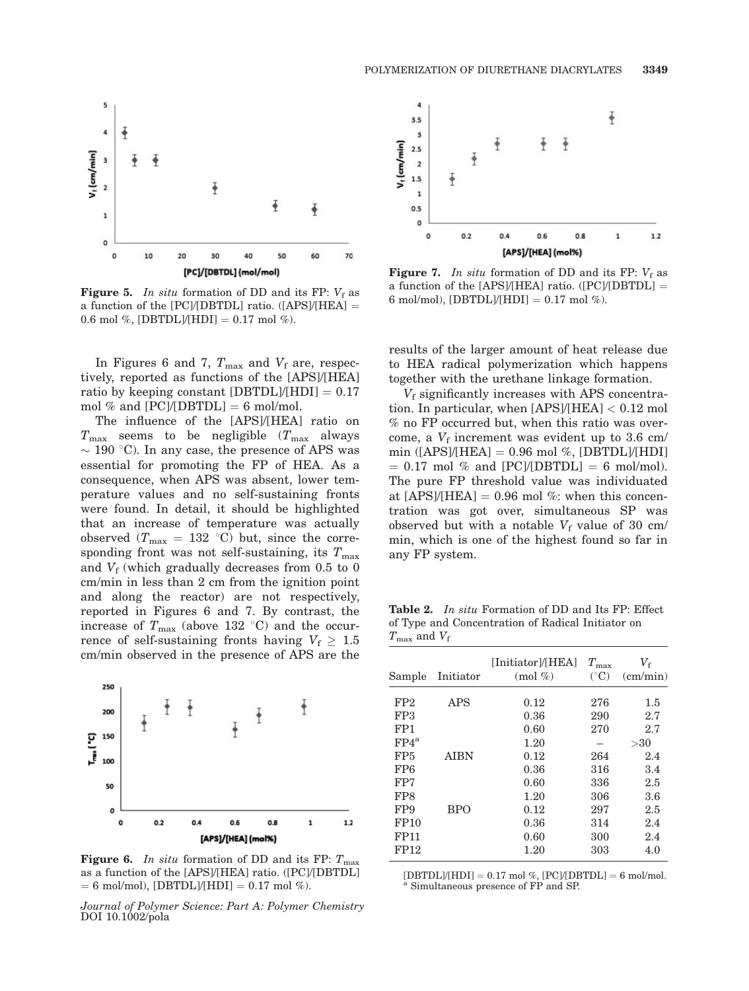

**Figure 5.** In situ formation of DD and its FP:  $V_f$  as a function of the [PC]/[DBTDL] ratio. ([APS]/[HEA]  $=$ 0.6 mol %, [DBTDL]/[HDI] = 0.17 mol %).

In Figures 6 and 7,  $T_{\text{max}}$  and  $V_f$  are, respectively, reported as functions of the [APS]/[HEA] ratio by keeping constant [DBTDL]/[HDI]  $= 0.17$ mol % and  $[PC]/[DBTDL] = 6$  mol/mol.

The influence of the [APS]/[HEA] ratio on  $T_{\text{max}}$  seems to be negligible  $(T_{\text{max}})$  always  $\sim$  190 °C). In any case, the presence of APS was essential for promoting the FP of HEA. As a consequence, when APS was absent, lower temperature values and no self-sustaining fronts were found. In detail, it should be highlighted that an increase of temperature was actually observed  $(T_{\text{max}} = 132 \text{ °C})$  but, since the corresponding front was not self-sustaining, its  $T_{\text{max}}$ and  $V_f$  (which gradually decreases from 0.5 to 0 cm/min in less than 2 cm from the ignition point and along the reactor) are not respectively, reported in Figures 6 and 7. By contrast, the increase of  $T_{\text{max}}$  (above 132 °C) and the occurrence of self-sustaining fronts having  $V_f \geq 1.5$ cm/min observed in the presence of APS are the



**Figure 6.** In situ formation of DD and its FP:  $T_{\text{max}}$ as a function of the [APS]/[HEA] ratio. ([PC]/[DBTDL]  $= 6$  mol/mol), [DBTDL]/[HDI]  $= 0.17$  mol %).

Journal of Polymer Science: Part A: Polymer Chemistry DOI 10.1002/pola



**Figure 7.** In situ formation of DD and its FP:  $V_f$  as a function of the [APS]/[HEA] ratio. ([PC]/[DBTDL] = 6 mol/mol),  $[DBTDL]/[HDI] = 0.17$  mol %).

results of the larger amount of heat release due to HEA radical polymerization which happens together with the urethane linkage formation.

 $V_f$  significantly increases with APS concentration. In particular, when [APS]/[HEA] < 0.12 mol % no FP occurred but, when this ratio was overcome, a  $V_f$  increment was evident up to 3.6 cm/ min ( $[APS]/[HEA] = 0.96$  mol %,  $[DBTDL]/[HDI]$  $= 0.17$  mol % and  $[PC/(DBTDL] = 6$  mol/mol). The pure FP threshold value was individuated at  $[APS]/[HEAD] = 0.96$  mol %: when this concentration was got over, simultaneous SP was observed but with a notable  $V_f$  value of 30 cm/ min, which is one of the highest found so far in any FP system.

Table 2. In situ Formation of DD and Its FP: Effect of Type and Concentration of Radical Initiator on  $T_{\text{max}}$  and  $V_f$ 

| Sample          | Initiator   | [Initiator]/[HEA]<br>$\pmod{\%}$ | $T_{\rm max}$<br>$(^{\circ}C)$ | $V_{\rm f}$<br>$\text{(cm/min)}$ |
|-----------------|-------------|----------------------------------|--------------------------------|----------------------------------|
| FP2             | APS         | 0.12                             | 276                            | $1.5\,$                          |
| FP3             |             | 0.36                             | 290                            | 2.7                              |
| FP1             |             | 0.60                             | 270                            | 2.7                              |
| $FP4^a$         |             | 1.20                             |                                | >30                              |
| FP <sub>5</sub> | <b>AIBN</b> | 0.12                             | 264                            | 2.4                              |
| FP6             |             | 0.36                             | 316                            | 3.4                              |
| FP7             |             | 0.60                             | 336                            | 2.5                              |
| FP8             |             | 1.20                             | 306                            | 3.6                              |
| FP9             | <b>BPO</b>  | 0.12                             | 297                            | 2.5                              |
| FP10            |             | 0.36                             | 314                            | 2.4                              |
| <b>FP11</b>     |             | 0.60                             | 300                            | 2.4                              |
| FP12            |             | 1.20                             | 303                            | 4.0                              |

 $[DBTDL]/[HDI] = 0.17 \text{ mol %}, [PC/(DBTDL] = 6 \text{ mol/mol}.$ a Simultaneous presence of FP and SP.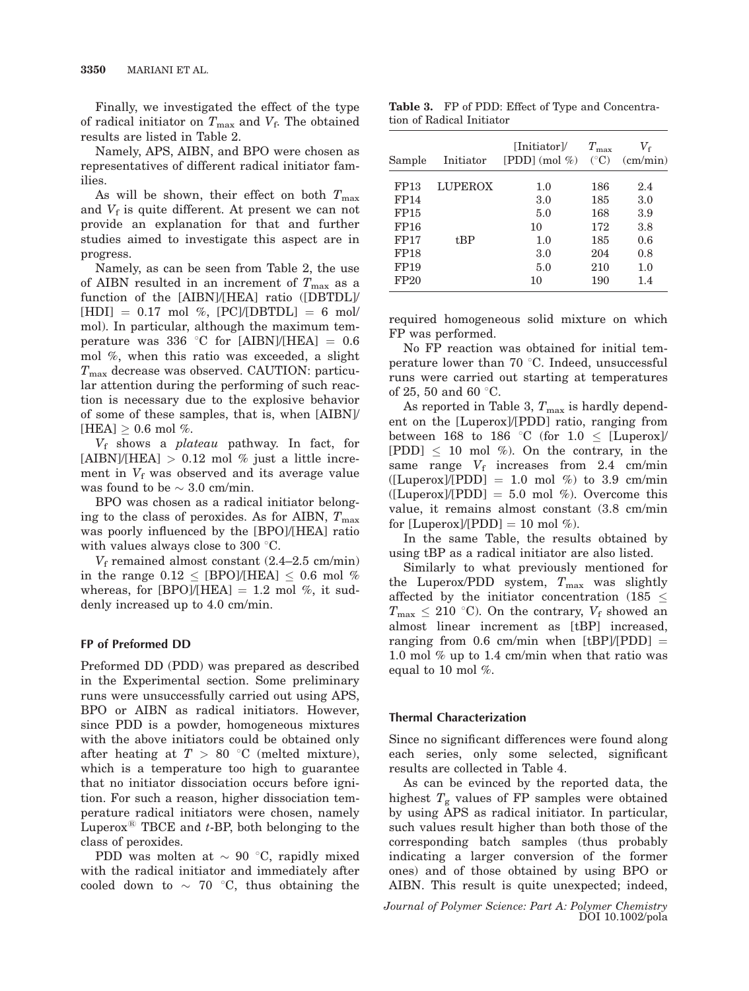Finally, we investigated the effect of the type of radical initiator on  $T_{\text{max}}$  and  $V_f$ . The obtained results are listed in Table 2.

Namely, APS, AIBN, and BPO were chosen as representatives of different radical initiator families.

As will be shown, their effect on both  $T_{\text{max}}$ and  $V_f$  is quite different. At present we can not provide an explanation for that and further studies aimed to investigate this aspect are in progress.

Namely, as can be seen from Table 2, the use of AIBN resulted in an increment of  $T_{\text{max}}$  as a function of the [AIBN]/[HEA] ratio ([DBTDL]/  $[HDI] = 0.17 \text{ mol } \%$ ,  $[PC]/[DBTDL] = 6 \text{ mol}$ mol). In particular, although the maximum temperature was 336 °C for [AIBN]/[HEA] =  $0.6$ mol %, when this ratio was exceeded, a slight  $T_{\text{max}}$  decrease was observed. CAUTION: particular attention during the performing of such reaction is necessary due to the explosive behavior of some of these samples, that is, when [AIBN]/ [HEA]  $> 0.6$  mol %.

 $V_f$  shows a *plateau* pathway. In fact, for  $[ABN]/[HEA] > 0.12$  mol % just a little increment in  $V_f$  was observed and its average value was found to be  $\sim 3.0$  cm/min.

BPO was chosen as a radical initiator belonging to the class of peroxides. As for AIBN,  $T_{\text{max}}$ was poorly influenced by the [BPO]/[HEA] ratio with values always close to 300  $\degree$ C.

 $V_f$  remained almost constant (2.4–2.5 cm/min) in the range  $0.12 \leq$  [BPO]/[HEA]  $\leq 0.6$  mol % whereas, for [BPO]/[HEA]  $= 1.2$  mol %, it suddenly increased up to 4.0 cm/min.

## FP of Preformed DD

Preformed DD (PDD) was prepared as described in the Experimental section. Some preliminary runs were unsuccessfully carried out using APS, BPO or AIBN as radical initiators. However, since PDD is a powder, homogeneous mixtures with the above initiators could be obtained only after heating at  $T > 80$  °C (melted mixture), which is a temperature too high to guarantee that no initiator dissociation occurs before ignition. For such a reason, higher dissociation temperature radical initiators were chosen, namely Luperox<sup>®</sup> TBCE and  $t$ -BP, both belonging to the class of peroxides.

PDD was molten at  $\sim$  90 °C, rapidly mixed with the radical initiator and immediately after cooled down to  $\sim$  70 °C, thus obtaining the

Table 3. FP of PDD: Effect of Type and Concentration of Radical Initiator

| Sample           | Initiator      | [Initiator]/<br>$[PDD] (mol \%)$ | $T_{\rm max}$<br>$({}^{\circ}C)$ | $V_{\rm f}$<br>$\text{(cm/min)}$ |
|------------------|----------------|----------------------------------|----------------------------------|----------------------------------|
| FP13             | <b>LUPEROX</b> | 1.0                              | 186                              | 2.4                              |
| FP14             |                | 3.0                              | 185                              | 3.0                              |
| FP15             |                | 5.0                              | 168                              | 3.9                              |
| FP16             |                | 10                               | 172                              | 3.8                              |
| FP17             | t.BP           | 1.0                              | 185                              | 0.6                              |
| FP18             |                | 3.0                              | 204                              | 0.8                              |
| FP19             |                | 5.0                              | 210                              | 1.0                              |
| FP <sub>20</sub> |                | 10                               | 190                              | 1.4                              |

required homogeneous solid mixture on which FP was performed.

No FP reaction was obtained for initial temperature lower than 70  $\degree$ C. Indeed, unsuccessful runs were carried out starting at temperatures of 25, 50 and 60  $\degree$ C.

As reported in Table 3,  $T_{\text{max}}$  is hardly dependent on the [Luperox]/[PDD] ratio, ranging from between 168 to 186 °C (for 1.0  $\leq$  [Luperox]/  $[PDD] \leq 10$  mol %). On the contrary, in the same range  $V_f$  increases from 2.4 cm/min  $([Luperox]/[PDD] = 1.0$  mol %) to 3.9 cm/min  $([Luperox]/[PDD] = 5.0 \text{ mol } %$ . Overcome this value, it remains almost constant (3.8 cm/min for  $[Luperox]/[PDD] = 10 \text{ mol } \%$ ).

In the same Table, the results obtained by using tBP as a radical initiator are also listed.

Similarly to what previously mentioned for the Luperox/PDD system,  $T_{\text{max}}$  was slightly affected by the initiator concentration (185  $\leq$  $T_{\text{max}} \leq 210$  °C). On the contrary,  $V_f$  showed an almost linear increment as [tBP] increased, ranging from 0.6 cm/min when  $[tBP/(PDD)] =$ 1.0 mol % up to 1.4 cm/min when that ratio was equal to 10 mol %.

#### Thermal Characterization

Since no significant differences were found along each series, only some selected, significant results are collected in Table 4.

As can be evinced by the reported data, the highest  $T_g$  values of FP samples were obtained by using APS as radical initiator. In particular, such values result higher than both those of the corresponding batch samples (thus probably indicating a larger conversion of the former ones) and of those obtained by using BPO or AIBN. This result is quite unexpected; indeed,

Journal of Polymer Science: Part A: Polymer Chemistry DOI 10.1002/pola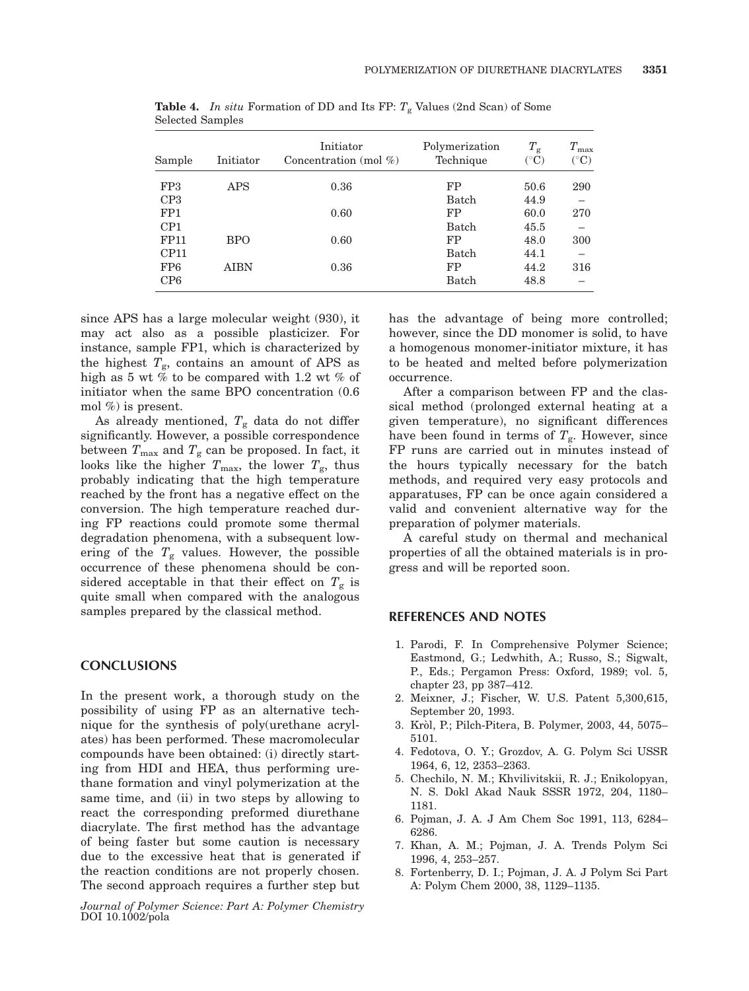| Sample          | Initiator  | Initiator<br>Concentration (mol $\%$ ) | Polymerization<br>Technique | $T_{\rm g}$<br>$({}^{\circ}{\rm C})$ | $T_{\rm max}$<br>$({}^{\circ}C)$ |
|-----------------|------------|----------------------------------------|-----------------------------|--------------------------------------|----------------------------------|
| FP3             | <b>APS</b> | 0.36                                   | FP                          | 50.6                                 | 290                              |
| CP3             |            |                                        | Batch                       | 44.9                                 |                                  |
| FP <sub>1</sub> |            | 0.60                                   | FP                          | 60.0                                 | 270                              |
| CP1             |            |                                        | <b>Batch</b>                | 45.5                                 |                                  |
| <b>FP11</b>     | <b>BPO</b> | 0.60                                   | FP                          | 48.0                                 | 300                              |
| CP11            |            |                                        | Batch                       | 44.1                                 |                                  |
| FP <sub>6</sub> | AIBN       | 0.36                                   | FP                          | 44.2                                 | 316                              |
| CP <sub>6</sub> |            |                                        | Batch                       | 48.8                                 |                                  |

**Table 4.** In situ Formation of DD and Its FP:  $T_g$  Values (2nd Scan) of Some Selected Samples

since APS has a large molecular weight (930), it may act also as a possible plasticizer. For instance, sample FP1, which is characterized by the highest  $T_g$ , contains an amount of APS as high as 5 wt % to be compared with 1.2 wt % of initiator when the same BPO concentration (0.6 mol %) is present.

As already mentioned,  $T_g$  data do not differ significantly. However, a possible correspondence between  $T_{\text{max}}$  and  $T_{\text{g}}$  can be proposed. In fact, it looks like the higher  $T_{\text{max}}$ , the lower  $T_{\text{g}}$ , thus probably indicating that the high temperature reached by the front has a negative effect on the conversion. The high temperature reached during FP reactions could promote some thermal degradation phenomena, with a subsequent lowering of the  $T_{\rm g}$  values. However, the possible occurrence of these phenomena should be considered acceptable in that their effect on  $T_g$  is quite small when compared with the analogous samples prepared by the classical method.

#### **CONCLUSIONS**

In the present work, a thorough study on the possibility of using FP as an alternative technique for the synthesis of poly(urethane acrylates) has been performed. These macromolecular compounds have been obtained: (i) directly starting from HDI and HEA, thus performing urethane formation and vinyl polymerization at the same time, and (ii) in two steps by allowing to react the corresponding preformed diurethane diacrylate. The first method has the advantage of being faster but some caution is necessary due to the excessive heat that is generated if the reaction conditions are not properly chosen. The second approach requires a further step but

Journal of Polymer Science: Part A: Polymer Chemistry DOI 10.1002/pola

has the advantage of being more controlled; however, since the DD monomer is solid, to have a homogenous monomer-initiator mixture, it has to be heated and melted before polymerization occurrence.

After a comparison between FP and the classical method (prolonged external heating at a given temperature), no significant differences have been found in terms of  $T_g$ . However, since FP runs are carried out in minutes instead of the hours typically necessary for the batch methods, and required very easy protocols and apparatuses, FP can be once again considered a valid and convenient alternative way for the preparation of polymer materials.

A careful study on thermal and mechanical properties of all the obtained materials is in progress and will be reported soon.

#### REFERENCES AND NOTES

- 1. Parodi, F. In Comprehensive Polymer Science; Eastmond, G.; Ledwhith, A.; Russo, S.; Sigwalt, P., Eds.; Pergamon Press: Oxford, 1989; vol. 5, chapter 23, pp 387–412.
- 2. Meixner, J.; Fischer, W. U.S. Patent 5,300,615, September 20, 1993.
- 3. Kro`l, P.; Pilch-Pitera, B. Polymer, 2003, 44, 5075– 5101.
- 4. Fedotova, O. Y.; Grozdov, A. G. Polym Sci USSR 1964, 6, 12, 2353–2363.
- 5. Chechilo, N. M.; Khvilivitskii, R. J.; Enikolopyan, N. S. Dokl Akad Nauk SSSR 1972, 204, 1180– 1181.
- 6. Pojman, J. A. J Am Chem Soc 1991, 113, 6284– 6286.
- 7. Khan, A. M.; Pojman, J. A. Trends Polym Sci 1996, 4, 253–257.
- 8. Fortenberry, D. I.; Pojman, J. A. J Polym Sci Part A: Polym Chem 2000, 38, 1129–1135.